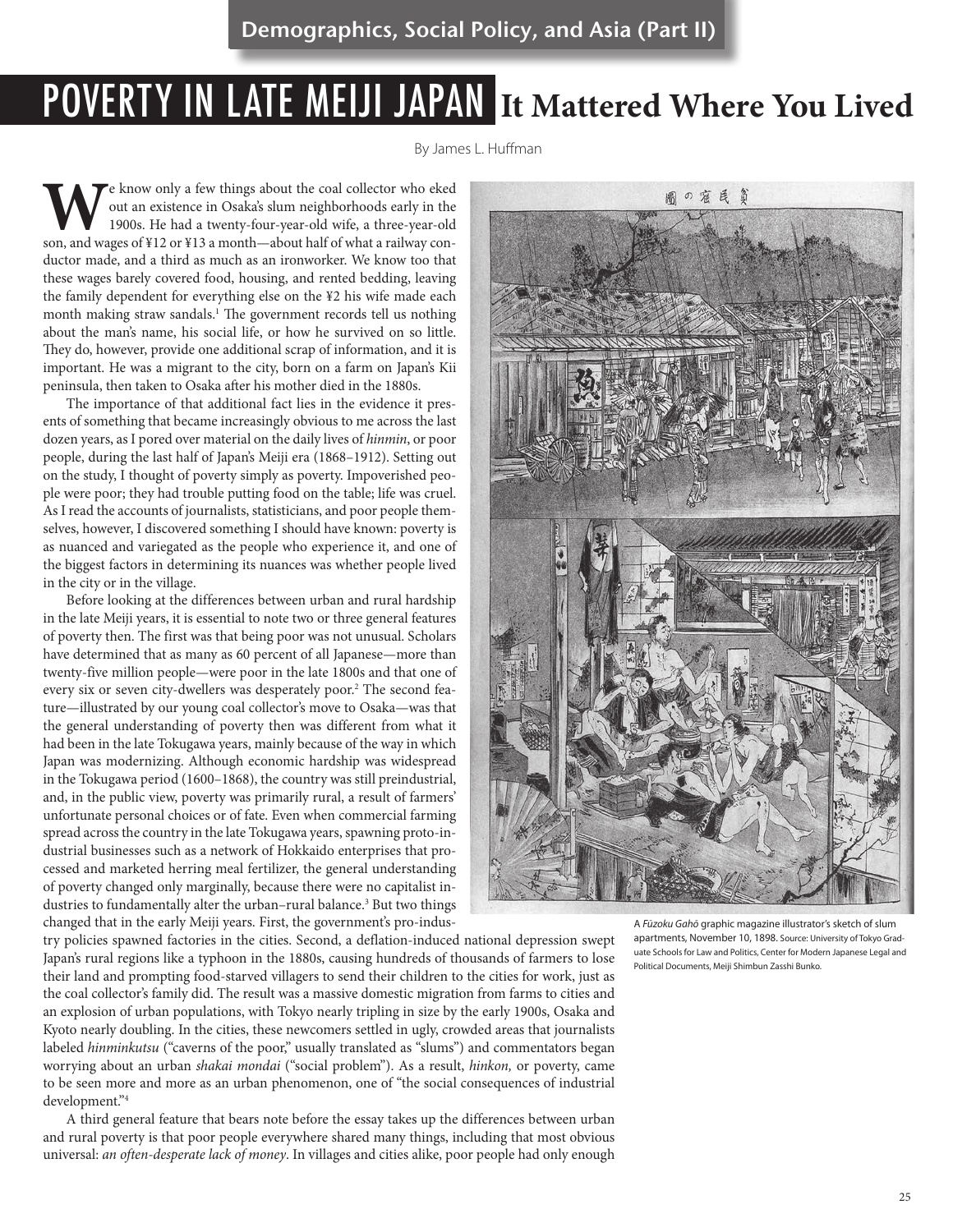# POVERTY IN LATE MEIJI JAPAN **It Mattered Where You Lived**

By James L. Huffman

**W**e know only a few things about the coal collector who eked out an existence in Osaka's slum neighborhoods early in the 1900s. He had a twenty-four-year-old wife, a three-year-old son, and wages of ¥12 or ¥13 a month—about half of what a railway conductor made, and a third as much as an ironworker. We know too that these wages barely covered food, housing, and rented bedding, leaving the family dependent for everything else on the ¥2 his wife made each month making straw sandals.<sup>1</sup> The government records tell us nothing about the man's name, his social life, or how he survived on so little. They do, however, provide one additional scrap of information, and it is important. He was a migrant to the city, born on a farm on Japan's Kii peninsula, then taken to Osaka after his mother died in the 1880s.

The importance of that additional fact lies in the evidence it presents of something that became increasingly obvious to me across the last dozen years, as I pored over material on the daily lives of *hinmin*, or poor people, during the last half of Japan's Meiji era (1868–1912). Setting out on the study, I thought of poverty simply as poverty. Impoverished people were poor; they had trouble putting food on the table; life was cruel. As I read the accounts of journalists, statisticians, and poor people themselves, however, I discovered something I should have known: poverty is as nuanced and variegated as the people who experience it, and one of the biggest factors in determining its nuances was whether people lived in the city or in the village.

Before looking at the differences between urban and rural hardship in the late Meiji years, it is essential to note two or three general features of poverty then. The first was that being poor was not unusual. Scholars have determined that as many as 60 percent of all Japanese—more than twenty-five million people—were poor in the late 1800s and that one of every six or seven city-dwellers was desperately poor.<sup>2</sup> The second feature—illustrated by our young coal collector's move to Osaka—was that the general understanding of poverty then was different from what it had been in the late Tokugawa years, mainly because of the way in which Japan was modernizing. Although economic hardship was widespread in the Tokugawa period (1600–1868), the country was still preindustrial, and, in the public view, poverty was primarily rural, a result of farmers' unfortunate personal choices or of fate. Even when commercial farming spread across the country in the late Tokugawa years, spawning proto-industrial businesses such as a network of Hokkaido enterprises that processed and marketed herring meal fertilizer, the general understanding of poverty changed only marginally, because there were no capitalist industries to fundamentally alter the urban-rural balance.<sup>3</sup> But two things changed that in the early Meiji years. First, the government's pro-indus-

try policies spawned factories in the cities. Second, a deflation-induced national depression swept Japan's rural regions like a typhoon in the 1880s, causing hundreds of thousands of farmers to lose their land and prompting food-starved villagers to send their children to the cities for work, just as the coal collector's family did. The result was a massive domestic migration from farms to cities and an explosion of urban populations, with Tokyo nearly tripling in size by the early 1900s, Osaka and Kyoto nearly doubling. In the cities, these newcomers settled in ugly, crowded areas that journalists labeled *hinminkutsu* ("caverns of the poor," usually translated as "slums") and commentators began worrying about an urban *shakai mondai* ("social problem"). As a result, *hinkon,* or poverty, came to be seen more and more as an urban phenomenon, one of "the social consequences of industrial development."4

A third general feature that bears note before the essay takes up the differences between urban and rural poverty is that poor people everywhere shared many things, including that most obvious universal: *an often-desperate lack of money*. In villages and cities alike, poor people had only enough



A *Fūzoku Gahō* graphic magazine illustrator's sketch of slum apartments, November 10, 1898. Source: University of Tokyo Graduate Schools for Law and Politics, Center for Modern Japanese Legal and Political Documents, Meiji Shimbun Zasshi Bunko.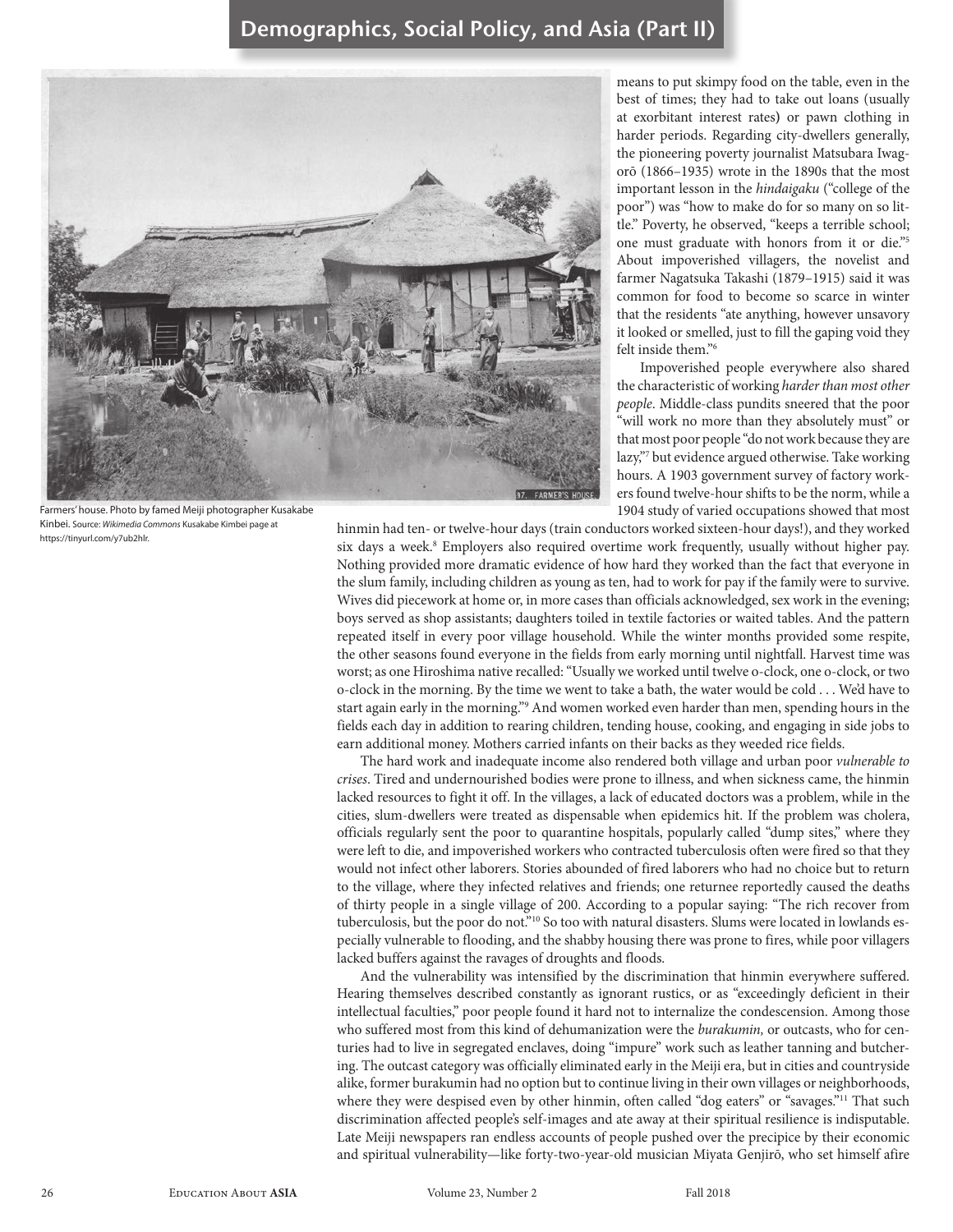

Farmers' house. Photo by famed Meiji photographer Kusakabe Kinbei. Source: *Wikimedia Commons* Kusakabe Kimbei page at https://tinyurl.com/y7ub2hlr.

means to put skimpy food on the table, even in the best of times; they had to take out loans (usually at exorbitant interest rates**)** or pawn clothing in harder periods. Regarding city-dwellers generally, the pioneering poverty journalist Matsubara Iwagorō (1866–1935) wrote in the 1890s that the most important lesson in the *hindaigaku* ("college of the poor") was "how to make do for so many on so little." Poverty, he observed, "keeps a terrible school; one must graduate with honors from it or die."5 About impoverished villagers, the novelist and farmer Nagatsuka Takashi (1879–1915) said it was common for food to become so scarce in winter that the residents "ate anything, however unsavory it looked or smelled, just to fill the gaping void they felt inside them."6

Impoverished people everywhere also shared the characteristic of working *harder than most other people*. Middle-class pundits sneered that the poor "will work no more than they absolutely must" or that most poor people "do not work because they are lazy,"7 but evidence argued otherwise. Take working hours. A 1903 government survey of factory workers found twelve-hour shifts to be the norm, while a 1904 study of varied occupations showed that most

hinmin had ten- or twelve-hour days (train conductors worked sixteen-hour days!), and they worked six days a week.<sup>8</sup> Employers also required overtime work frequently, usually without higher pay. Nothing provided more dramatic evidence of how hard they worked than the fact that everyone in the slum family, including children as young as ten, had to work for pay if the family were to survive. Wives did piecework at home or, in more cases than officials acknowledged, sex work in the evening; boys served as shop assistants; daughters toiled in textile factories or waited tables. And the pattern repeated itself in every poor village household. While the winter months provided some respite, the other seasons found everyone in the fields from early morning until nightfall. Harvest time was worst; as one Hiroshima native recalled: "Usually we worked until twelve o-clock, one o-clock, or two o-clock in the morning. By the time we went to take a bath, the water would be cold . . . We'd have to start again early in the morning."9 And women worked even harder than men, spending hours in the fields each day in addition to rearing children, tending house, cooking, and engaging in side jobs to earn additional money. Mothers carried infants on their backs as they weeded rice fields.

The hard work and inadequate income also rendered both village and urban poor *vulnerable to crises*. Tired and undernourished bodies were prone to illness, and when sickness came, the hinmin lacked resources to fight it off. In the villages, a lack of educated doctors was a problem, while in the cities, slum-dwellers were treated as dispensable when epidemics hit. If the problem was cholera, officials regularly sent the poor to quarantine hospitals, popularly called "dump sites," where they were left to die, and impoverished workers who contracted tuberculosis often were fired so that they would not infect other laborers. Stories abounded of fired laborers who had no choice but to return to the village, where they infected relatives and friends; one returnee reportedly caused the deaths of thirty people in a single village of 200. According to a popular saying: "The rich recover from tuberculosis, but the poor do not."10 So too with natural disasters. Slums were located in lowlands especially vulnerable to flooding, and the shabby housing there was prone to fires, while poor villagers lacked buffers against the ravages of droughts and floods.

And the vulnerability was intensified by the discrimination that hinmin everywhere suffered. Hearing themselves described constantly as ignorant rustics, or as "exceedingly deficient in their intellectual faculties," poor people found it hard not to internalize the condescension. Among those who suffered most from this kind of dehumanization were the *burakumin,* or outcasts, who for centuries had to live in segregated enclaves, doing "impure" work such as leather tanning and butchering. The outcast category was officially eliminated early in the Meiji era, but in cities and countryside alike, former burakumin had no option but to continue living in their own villages or neighborhoods, where they were despised even by other hinmin, often called "dog eaters" or "savages."<sup>11</sup> That such discrimination affected people's self-images and ate away at their spiritual resilience is indisputable. Late Meiji newspapers ran endless accounts of people pushed over the precipice by their economic and spiritual vulnerability—like forty-two-year-old musician Miyata Genjirō, who set himself afire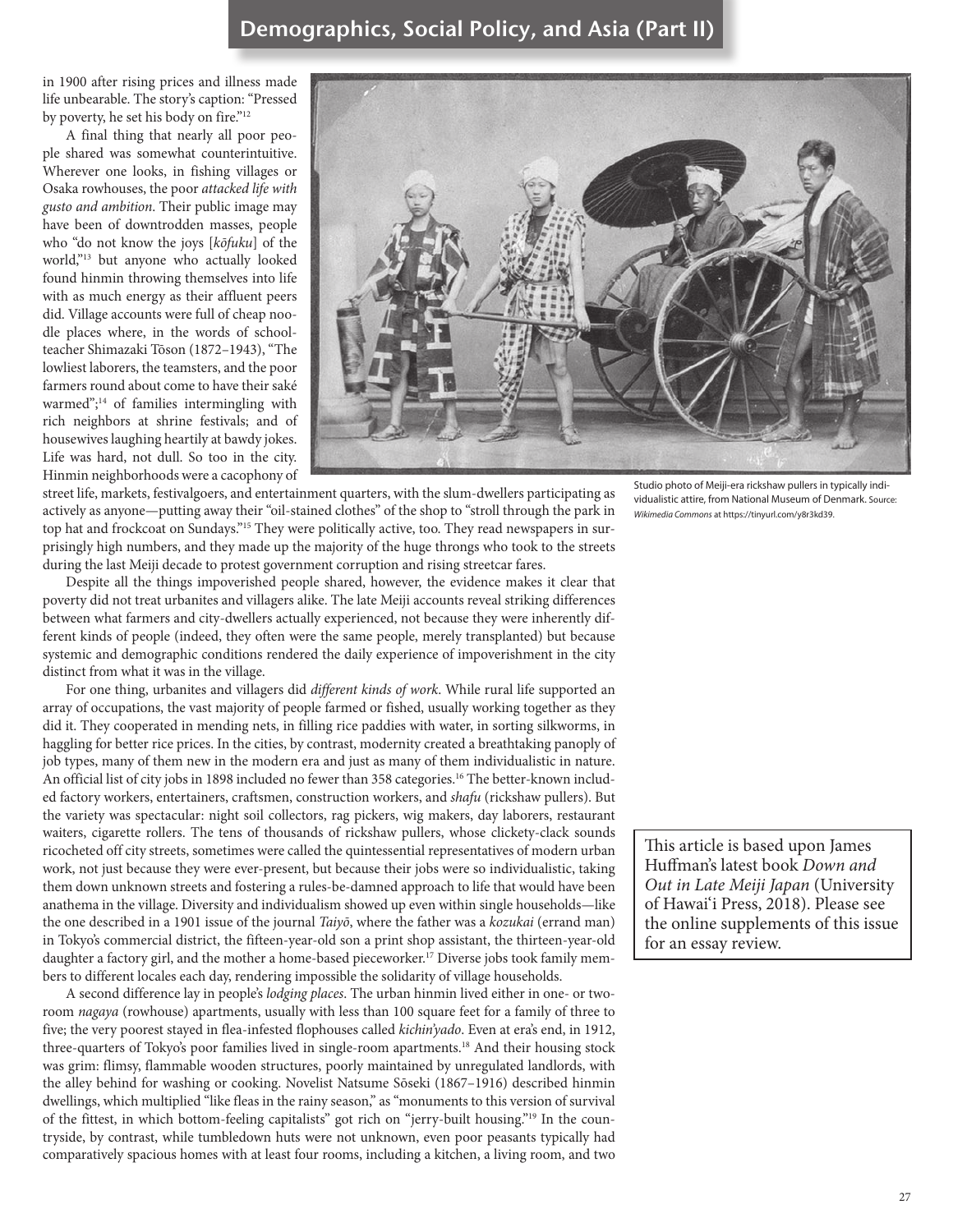in 1900 after rising prices and illness made life unbearable. The story's caption: "Pressed by poverty, he set his body on fire."<sup>12</sup>

A final thing that nearly all poor people shared was somewhat counterintuitive. Wherever one looks, in fishing villages or Osaka rowhouses, the poor *attacked life with gusto and ambition*. Their public image may have been of downtrodden masses, people who "do not know the joys [*kōfuku*] of the world,"13 but anyone who actually looked found hinmin throwing themselves into life with as much energy as their affluent peers did. Village accounts were full of cheap noodle places where, in the words of schoolteacher Shimazaki Tōson (1872–1943), "The lowliest laborers, the teamsters, and the poor farmers round about come to have their saké warmed";<sup>14</sup> of families intermingling with rich neighbors at shrine festivals; and of housewives laughing heartily at bawdy jokes. Life was hard, not dull. So too in the city. Hinmin neighborhoods were a cacophony of



street life, markets, festivalgoers, and entertainment quarters, with the slum-dwellers participating as actively as anyone—putting away their "oil-stained clothes" of the shop to "stroll through the park in top hat and frockcoat on Sundays."<sup>15</sup> They were politically active, too. They read newspapers in surprisingly high numbers, and they made up the majority of the huge throngs who took to the streets during the last Meiji decade to protest government corruption and rising streetcar fares.

Despite all the things impoverished people shared, however, the evidence makes it clear that poverty did not treat urbanites and villagers alike. The late Meiji accounts reveal striking differences between what farmers and city-dwellers actually experienced, not because they were inherently different kinds of people (indeed, they often were the same people, merely transplanted) but because systemic and demographic conditions rendered the daily experience of impoverishment in the city distinct from what it was in the village.

For one thing, urbanites and villagers did *different kinds of work*. While rural life supported an array of occupations, the vast majority of people farmed or fished, usually working together as they did it. They cooperated in mending nets, in filling rice paddies with water, in sorting silkworms, in haggling for better rice prices. In the cities, by contrast, modernity created a breathtaking panoply of job types, many of them new in the modern era and just as many of them individualistic in nature. An official list of city jobs in 1898 included no fewer than 358 categories.<sup>16</sup> The better-known included factory workers, entertainers, craftsmen, construction workers, and *shafu* (rickshaw pullers). But the variety was spectacular: night soil collectors, rag pickers, wig makers, day laborers, restaurant waiters, cigarette rollers. The tens of thousands of rickshaw pullers, whose clickety-clack sounds ricocheted off city streets, sometimes were called the quintessential representatives of modern urban work, not just because they were ever-present, but because their jobs were so individualistic, taking them down unknown streets and fostering a rules-be-damned approach to life that would have been anathema in the village. Diversity and individualism showed up even within single households—like the one described in a 1901 issue of the journal *Taiyō*, where the father was a *kozukai* (errand man) in Tokyo's commercial district, the fifteen-year-old son a print shop assistant, the thirteen-year-old daughter a factory girl, and the mother a home-based pieceworker.<sup>17</sup> Diverse jobs took family members to different locales each day, rendering impossible the solidarity of village households.

A second difference lay in people's *lodging places*. The urban hinmin lived either in one- or tworoom *nagaya* (rowhouse) apartments, usually with less than 100 square feet for a family of three to five; the very poorest stayed in flea-infested flophouses called *kichin'yado*. Even at era's end, in 1912, three-quarters of Tokyo's poor families lived in single-room apartments.18 And their housing stock was grim: flimsy, flammable wooden structures, poorly maintained by unregulated landlords, with the alley behind for washing or cooking. Novelist Natsume Sōseki (1867–1916) described hinmin dwellings, which multiplied "like fleas in the rainy season," as "monuments to this version of survival of the fittest, in which bottom-feeling capitalists" got rich on "jerry-built housing."19 In the countryside, by contrast, while tumbledown huts were not unknown, even poor peasants typically had comparatively spacious homes with at least four rooms, including a kitchen, a living room, and two

Studio photo of Meiji-era rickshaw pullers in typically individualistic attire, from National Museum of Denmark. Source: *Wikimedia Commons* at https://tinyurl.com/y8r3kd39.

This article is based upon James Huffman's latest book *Down and Out in Late Meiji Japan* (University of Hawai'i Press, 2018). Please see the online supplements of this issue for an essay review.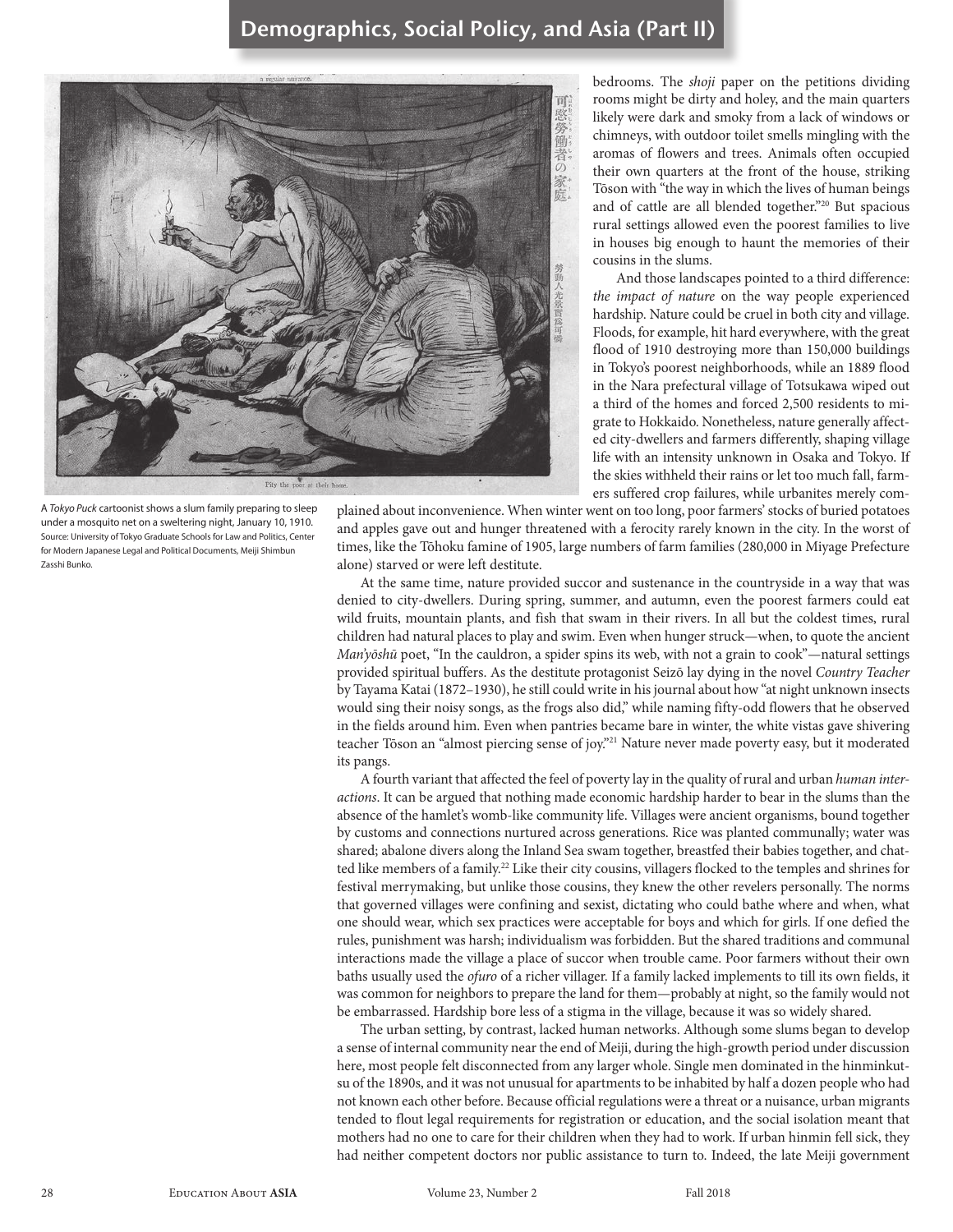

A *Tokyo Puck* cartoonist shows a slum family preparing to sleep under a mosquito net on a sweltering night, January 10, 1910. Source: University of Tokyo Graduate Schools for Law and Politics, Center for Modern Japanese Legal and Political Documents, Meiji Shimbun Zasshi Bunko.

bedrooms. The *shoji* paper on the petitions dividing rooms might be dirty and holey, and the main quarters likely were dark and smoky from a lack of windows or chimneys, with outdoor toilet smells mingling with the aromas of flowers and trees. Animals often occupied their own quarters at the front of the house, striking Tōson with "the way in which the lives of human beings and of cattle are all blended together."20 But spacious rural settings allowed even the poorest families to live in houses big enough to haunt the memories of their cousins in the slums.

And those landscapes pointed to a third difference: *the impact of nature* on the way people experienced hardship. Nature could be cruel in both city and village. Floods, for example, hit hard everywhere, with the great flood of 1910 destroying more than 150,000 buildings in Tokyo's poorest neighborhoods, while an 1889 flood in the Nara prefectural village of Totsukawa wiped out a third of the homes and forced 2,500 residents to migrate to Hokkaido. Nonetheless, nature generally affected city-dwellers and farmers differently, shaping village life with an intensity unknown in Osaka and Tokyo. If the skies withheld their rains or let too much fall, farmers suffered crop failures, while urbanites merely com-

plained about inconvenience. When winter went on too long, poor farmers' stocks of buried potatoes and apples gave out and hunger threatened with a ferocity rarely known in the city. In the worst of times, like the Tōhoku famine of 1905, large numbers of farm families (280,000 in Miyage Prefecture alone) starved or were left destitute.

At the same time, nature provided succor and sustenance in the countryside in a way that was denied to city-dwellers. During spring, summer, and autumn, even the poorest farmers could eat wild fruits, mountain plants, and fish that swam in their rivers. In all but the coldest times, rural children had natural places to play and swim. Even when hunger struck—when, to quote the ancient *Man'yōshū* poet, "In the cauldron, a spider spins its web, with not a grain to cook"—natural settings provided spiritual buffers. As the destitute protagonist Seizō lay dying in the novel *Country Teacher*  by Tayama Katai (1872–1930), he still could write in his journal about how "at night unknown insects would sing their noisy songs, as the frogs also did," while naming fifty-odd flowers that he observed in the fields around him. Even when pantries became bare in winter, the white vistas gave shivering teacher Tōson an "almost piercing sense of joy."21 Nature never made poverty easy, but it moderated its pangs.

A fourth variant that affected the feel of poverty lay in the quality of rural and urban *human interactions*. It can be argued that nothing made economic hardship harder to bear in the slums than the absence of the hamlet's womb-like community life. Villages were ancient organisms, bound together by customs and connections nurtured across generations. Rice was planted communally; water was shared; abalone divers along the Inland Sea swam together, breastfed their babies together, and chatted like members of a family.<sup>22</sup> Like their city cousins, villagers flocked to the temples and shrines for festival merrymaking, but unlike those cousins, they knew the other revelers personally. The norms that governed villages were confining and sexist, dictating who could bathe where and when, what one should wear, which sex practices were acceptable for boys and which for girls. If one defied the rules, punishment was harsh; individualism was forbidden. But the shared traditions and communal interactions made the village a place of succor when trouble came. Poor farmers without their own baths usually used the *ofuro* of a richer villager. If a family lacked implements to till its own fields, it was common for neighbors to prepare the land for them—probably at night, so the family would not be embarrassed. Hardship bore less of a stigma in the village, because it was so widely shared.

The urban setting, by contrast, lacked human networks. Although some slums began to develop a sense of internal community near the end of Meiji, during the high-growth period under discussion here, most people felt disconnected from any larger whole. Single men dominated in the hinminkutsu of the 1890s, and it was not unusual for apartments to be inhabited by half a dozen people who had not known each other before. Because official regulations were a threat or a nuisance, urban migrants tended to flout legal requirements for registration or education, and the social isolation meant that mothers had no one to care for their children when they had to work. If urban hinmin fell sick, they had neither competent doctors nor public assistance to turn to. Indeed, the late Meiji government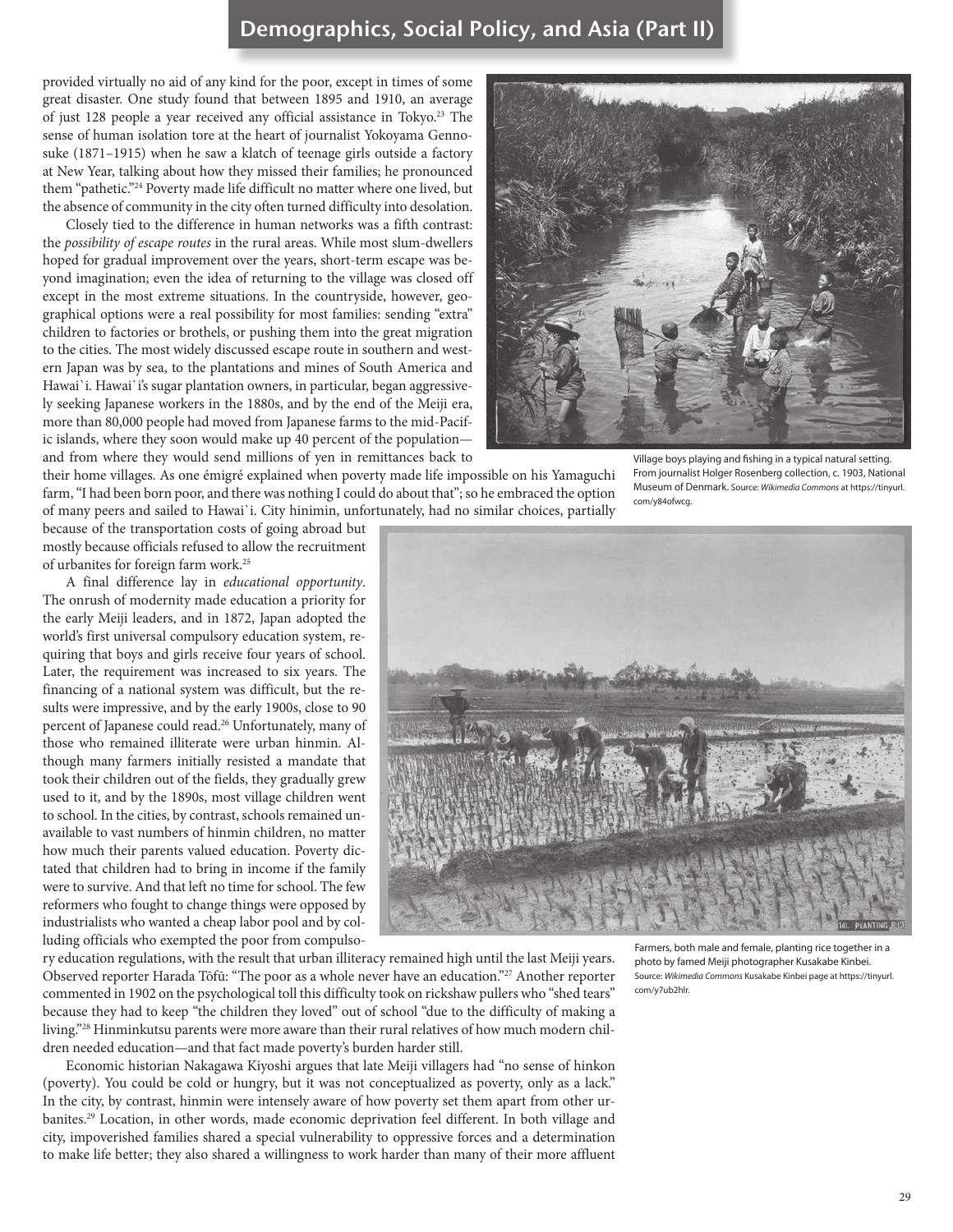provided virtually no aid of any kind for the poor, except in times of some great disaster. One study found that between 1895 and 1910, an average of just 128 people a year received any official assistance in Tokyo.23 The sense of human isolation tore at the heart of journalist Yokoyama Gennosuke (1871–1915) when he saw a klatch of teenage girls outside a factory at New Year, talking about how they missed their families; he pronounced them "pathetic."24 Poverty made life difficult no matter where one lived, but the absence of community in the city often turned difficulty into desolation.

Closely tied to the difference in human networks was a fifth contrast: the *possibility of escape routes* in the rural areas. While most slum-dwellers hoped for gradual improvement over the years, short-term escape was beyond imagination; even the idea of returning to the village was closed off except in the most extreme situations. In the countryside, however, geographical options were a real possibility for most families: sending "extra" children to factories or brothels, or pushing them into the great migration to the cities. The most widely discussed escape route in southern and western Japan was by sea, to the plantations and mines of South America and Hawai`i. Hawai`i's sugar plantation owners, in particular, began aggressively seeking Japanese workers in the 1880s, and by the end of the Meiji era, more than 80,000 people had moved from Japanese farms to the mid-Pacific islands, where they soon would make up 40 percent of the population and from where they would send millions of yen in remittances back to

their home villages. As one émigré explained when poverty made life impossible on his Yamaguchi farm, "I had been born poor, and there was nothing I could do about that"; so he embraced the option of many peers and sailed to Hawai`i. City hinimin, unfortunately, had no similar choices, partially

Village boys playing and fishing in a typical natural setting. From journalist Holger Rosenberg collection, c. 1903, National Museum of Denmark. Source: *Wikimedia Commons* at https://tinyurl. com/y84ofwcg.

because of the transportation costs of going abroad but mostly because officials refused to allow the recruitment of urbanites for foreign farm work.25

A final difference lay in *educational opportunity*. The onrush of modernity made education a priority for the early Meiji leaders, and in 1872, Japan adopted the world's first universal compulsory education system, requiring that boys and girls receive four years of school. Later, the requirement was increased to six years. The financing of a national system was difficult, but the results were impressive, and by the early 1900s, close to 90 percent of Japanese could read.26 Unfortunately, many of those who remained illiterate were urban hinmin. Although many farmers initially resisted a mandate that took their children out of the fields, they gradually grew used to it, and by the 1890s, most village children went to school. In the cities, by contrast, schools remained unavailable to vast numbers of hinmin children, no matter how much their parents valued education. Poverty dictated that children had to bring in income if the family were to survive. And that left no time for school. The few reformers who fought to change things were opposed by industrialists who wanted a cheap labor pool and by colluding officials who exempted the poor from compulso-



ry education regulations, with the result that urban illiteracy remained high until the last Meiji years. Observed reporter Harada Tōfū: "The poor as a whole never have an education."27 Another reporter commented in 1902 on the psychological toll this difficulty took on rickshaw pullers who "shed tears" because they had to keep "the children they loved" out of school "due to the difficulty of making a living."28 Hinminkutsu parents were more aware than their rural relatives of how much modern children needed education—and that fact made poverty's burden harder still.

Economic historian Nakagawa Kiyoshi argues that late Meiji villagers had "no sense of hinkon (poverty). You could be cold or hungry, but it was not conceptualized as poverty, only as a lack." In the city, by contrast, hinmin were intensely aware of how poverty set them apart from other urbanites.29 Location, in other words, made economic deprivation feel different. In both village and city, impoverished families shared a special vulnerability to oppressive forces and a determination to make life better; they also shared a willingness to work harder than many of their more affluent

Farmers, both male and female, planting rice together in a photo by famed Meiji photographer Kusakabe Kinbei. Source: *Wikimedia Commons* Kusakabe Kinbei page at https://tinyurl. com/y7ub2hlr.